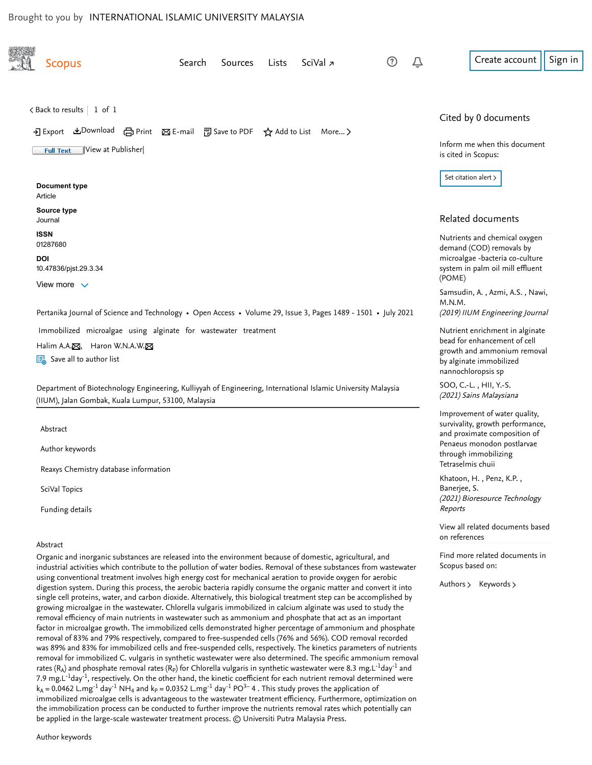<span id="page-0-2"></span>

| <b>Scopus</b>                                       | Search<br>Sources                                                                                                                                                                                                                                                                                                                                                                                                                                                                                                                                                                                                                                                                                                                                                                                                                                                                                                                             | Lists | SciVal <sub>7</sub> | (?) | Create account                                                                     |
|-----------------------------------------------------|-----------------------------------------------------------------------------------------------------------------------------------------------------------------------------------------------------------------------------------------------------------------------------------------------------------------------------------------------------------------------------------------------------------------------------------------------------------------------------------------------------------------------------------------------------------------------------------------------------------------------------------------------------------------------------------------------------------------------------------------------------------------------------------------------------------------------------------------------------------------------------------------------------------------------------------------------|-------|---------------------|-----|------------------------------------------------------------------------------------|
| $\zeta$ Back to results   1 of 1                    |                                                                                                                                                                                                                                                                                                                                                                                                                                                                                                                                                                                                                                                                                                                                                                                                                                                                                                                                               |       |                     |     | Cited by 0 documents                                                               |
| View at Publisher<br><b>Full Text</b>               | → Export 쓰Download (금 Print ⊠ E-mail 및 Save to PDF ☆ Add to List More >                                                                                                                                                                                                                                                                                                                                                                                                                                                                                                                                                                                                                                                                                                                                                                                                                                                                       |       |                     |     | Inform me when this document                                                       |
|                                                     |                                                                                                                                                                                                                                                                                                                                                                                                                                                                                                                                                                                                                                                                                                                                                                                                                                                                                                                                               |       |                     |     | is cited in Scopus:                                                                |
| <b>Document type</b><br>Article                     |                                                                                                                                                                                                                                                                                                                                                                                                                                                                                                                                                                                                                                                                                                                                                                                                                                                                                                                                               |       |                     |     | Set citation alert >                                                               |
| Source type<br>Journal                              |                                                                                                                                                                                                                                                                                                                                                                                                                                                                                                                                                                                                                                                                                                                                                                                                                                                                                                                                               |       |                     |     | Related documents                                                                  |
| <b>ISSN</b><br>01287680                             |                                                                                                                                                                                                                                                                                                                                                                                                                                                                                                                                                                                                                                                                                                                                                                                                                                                                                                                                               |       |                     |     | Nutrients and chemical oxygen                                                      |
| <b>DOI</b>                                          |                                                                                                                                                                                                                                                                                                                                                                                                                                                                                                                                                                                                                                                                                                                                                                                                                                                                                                                                               |       |                     |     | demand (COD) removals by<br>microalgae -bacteria co-culture                        |
| 10.47836/pjst.29.3.34<br>View more $\vee$           |                                                                                                                                                                                                                                                                                                                                                                                                                                                                                                                                                                                                                                                                                                                                                                                                                                                                                                                                               |       |                     |     | system in palm oil mill effluent<br>(POME)                                         |
|                                                     | Pertanika Journal of Science and Technology • Open Access • Volume 29, Issue 3, Pages 1489 - 1501 • July 2021                                                                                                                                                                                                                                                                                                                                                                                                                                                                                                                                                                                                                                                                                                                                                                                                                                 |       |                     |     | Samsudin, A., Azmi, A.S., Nawi,<br>M.N.M.<br>(2019) IIUM Engineering Journal       |
|                                                     | Immobilized microalgae using alginate for wastewater treatment                                                                                                                                                                                                                                                                                                                                                                                                                                                                                                                                                                                                                                                                                                                                                                                                                                                                                |       |                     |     | Nutrient enrichment in alginate                                                    |
| Halim A.A. <sub>[5]</sub> , Haron W.N.A.W. [5]      |                                                                                                                                                                                                                                                                                                                                                                                                                                                                                                                                                                                                                                                                                                                                                                                                                                                                                                                                               |       |                     |     | bead for enhancement of cell                                                       |
| Save all to author list                             |                                                                                                                                                                                                                                                                                                                                                                                                                                                                                                                                                                                                                                                                                                                                                                                                                                                                                                                                               |       |                     |     | growth and ammonium removal<br>by alginate immobilized<br>nannochloropsis sp       |
| (IIUM), Jalan Gombak, Kuala Lumpur, 53100, Malaysia | Department of Biotechnology Engineering, Kulliyyah of Engineering, International Islamic University Malaysia                                                                                                                                                                                                                                                                                                                                                                                                                                                                                                                                                                                                                                                                                                                                                                                                                                  |       |                     |     | SOO, C .- L., HII, Y .- S.<br>(2021) Sains Malaysiana                              |
| Abstract                                            |                                                                                                                                                                                                                                                                                                                                                                                                                                                                                                                                                                                                                                                                                                                                                                                                                                                                                                                                               |       |                     |     | Improvement of water quality,<br>survivality, growth performance,                  |
| Author keywords                                     |                                                                                                                                                                                                                                                                                                                                                                                                                                                                                                                                                                                                                                                                                                                                                                                                                                                                                                                                               |       |                     |     | and proximate composition of<br>Penaeus monodon postlarvae<br>through immobilizing |
| Reaxys Chemistry database information               |                                                                                                                                                                                                                                                                                                                                                                                                                                                                                                                                                                                                                                                                                                                                                                                                                                                                                                                                               |       |                     |     | Tetraselmis chuii                                                                  |
| SciVal Topics                                       |                                                                                                                                                                                                                                                                                                                                                                                                                                                                                                                                                                                                                                                                                                                                                                                                                                                                                                                                               |       |                     |     | Khatoon, H., Penz, K.P.,<br>Banerjee, S.<br>(2021) Bioresource Technology          |
| Funding details                                     |                                                                                                                                                                                                                                                                                                                                                                                                                                                                                                                                                                                                                                                                                                                                                                                                                                                                                                                                               |       |                     |     | Reports                                                                            |
|                                                     |                                                                                                                                                                                                                                                                                                                                                                                                                                                                                                                                                                                                                                                                                                                                                                                                                                                                                                                                               |       |                     |     | View all related documents based<br>on references                                  |
| Abstract                                            | Organic and inorganic substances are released into the environment because of domestic, agricultural, and                                                                                                                                                                                                                                                                                                                                                                                                                                                                                                                                                                                                                                                                                                                                                                                                                                     |       |                     |     | Find more related documents in                                                     |
|                                                     | industrial activities which contribute to the pollution of water bodies. Removal of these substances from wastewater                                                                                                                                                                                                                                                                                                                                                                                                                                                                                                                                                                                                                                                                                                                                                                                                                          |       |                     |     | Scopus based on:                                                                   |
|                                                     | using conventional treatment involves high energy cost for mechanical aeration to provide oxygen for aerobic<br>digestion system. During this process, the aerobic bacteria rapidly consume the organic matter and convert it into<br>single cell proteins, water, and carbon dioxide. Alternatively, this biological treatment step can be accomplished by<br>growing microalgae in the wastewater. Chlorella vulgaris immobilized in calcium alginate was used to study the<br>removal efficiency of main nutrients in wastewater such as ammonium and phosphate that act as an important<br>factor in microalgae growth. The immobilized cells demonstrated higher percentage of ammonium and phosphate<br>removal of 83% and 79% respectively, compared to free-suspended cells (76% and 56%). COD removal recorded<br>was 89% and 83% for immobilized cells and free-suspended cells, respectively. The kinetics parameters of nutrients |       |                     |     | Authors > Keywords >                                                               |
|                                                     | removal for immobilized C. vulgaris in synthetic wastewater were also determined. The specific ammonium removal<br>rates (R <sub>A</sub> ) and phosphate removal rates (R <sub>P</sub> ) for Chlorella vulgaris in synthetic wastewater were 8.3 mg.L <sup>-1</sup> day <sup>-1</sup> and<br>7.9 mg.L <sup>-1</sup> day <sup>-1</sup> , respectively. On the other hand, the kinetic coefficient for each nutrient removal determined were<br>$k_A$ = 0.0462 L.mg <sup>-1</sup> day <sup>-1</sup> NH <sub>4</sub> and $k_P$ = 0.0352 L.mg <sup>-1</sup> day <sup>-1</sup> PO <sup>3-</sup> 4. This study proves the application of<br>immobilized microalgae cells is advantageous to the wastewater treatment efficiency. Furthermore, optimization on                                                                                                                                                                                       |       |                     |     |                                                                                    |

<span id="page-0-0"></span>the immobilization process can be conducted to further improve the nutrients removal rates which potentially can

<span id="page-0-1"></span>be applied in the large-scale wastewater treatment process. © Universiti Putra Malaysia Press.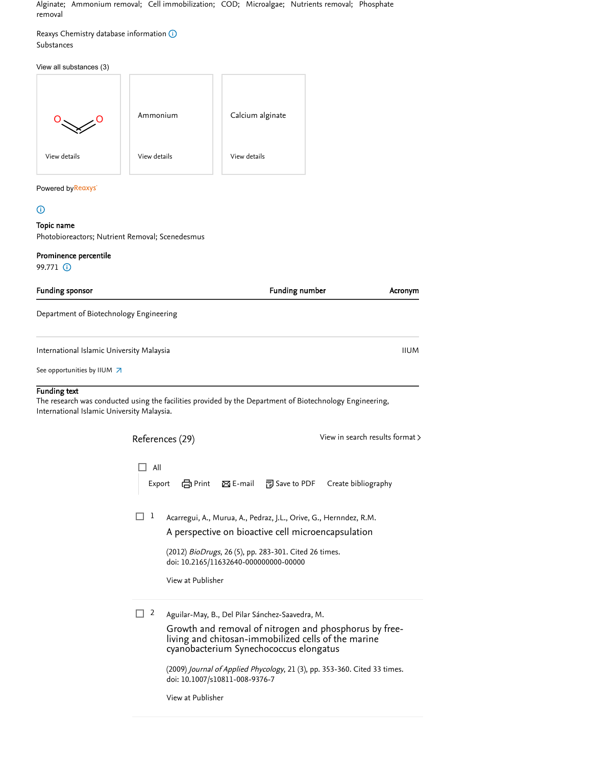Alginate; Ammonium removal; Cell immobilization; COD; Microalgae; Nutrients removal; Phosphate removal

<span id="page-1-0"></span>Reaxys Chemistry database information  $\odot$ Substances

#### View all substances (3)

|              | Ammonium     | Calcium alginate |
|--------------|--------------|------------------|
| View details | View details | View details     |

#### Powered b[y](https://www.reaxys.com/?origin=Scopus)Reaxys<sup>®</sup>

## <span id="page-1-1"></span> $\odot$

## Topic name

Photobioreactors; Nutrient Removal; Scenedesmus

## Prominence percentile

99.771 (i)

<span id="page-1-2"></span>

| <b>Funding sponsor</b>                                                                                                                                                        |         |                                                            |                    | <b>Funding number</b>                                                                                                                                                            | Acronym                                                                                                                                                                                    |
|-------------------------------------------------------------------------------------------------------------------------------------------------------------------------------|---------|------------------------------------------------------------|--------------------|----------------------------------------------------------------------------------------------------------------------------------------------------------------------------------|--------------------------------------------------------------------------------------------------------------------------------------------------------------------------------------------|
| Department of Biotechnology Engineering                                                                                                                                       |         |                                                            |                    |                                                                                                                                                                                  |                                                                                                                                                                                            |
| International Islamic University Malaysia                                                                                                                                     |         |                                                            |                    |                                                                                                                                                                                  | <b>IIUM</b>                                                                                                                                                                                |
| See opportunities by IIUM $\overline{\phantom{a}}$                                                                                                                            |         |                                                            |                    |                                                                                                                                                                                  |                                                                                                                                                                                            |
| <b>Funding text</b><br>The research was conducted using the facilities provided by the Department of Biotechnology Engineering,<br>International Islamic University Malaysia. |         |                                                            |                    |                                                                                                                                                                                  |                                                                                                                                                                                            |
|                                                                                                                                                                               |         | References (29)                                            |                    |                                                                                                                                                                                  | View in search results format >                                                                                                                                                            |
|                                                                                                                                                                               | All     | em Print<br>Export                                         | $\boxtimes$ E-mail | 闸 Save to PDF                                                                                                                                                                    | Create bibliography                                                                                                                                                                        |
|                                                                                                                                                                               | 1       | doi: 10.2165/11632640-000000000-00000<br>View at Publisher |                    | Acarregui, A., Murua, A., Pedraz, J.L., Orive, G., Hernndez, R.M.<br>A perspective on bioactive cell microencapsulation<br>(2012) BioDrugs, 26 (5), pp. 283-301. Cited 26 times. |                                                                                                                                                                                            |
|                                                                                                                                                                               | □.<br>2 | doi: 10.1007/s10811-008-9376-7<br>View at Publisher        |                    | Aguilar-May, B., Del Pilar Sánchez-Saavedra, M.<br>cyanobacterium Synechococcus elongatus                                                                                        | Growth and removal of nitrogen and phosphorus by free-<br>living and chitosan-immobilized cells of the marine<br>(2009) Journal of Applied Phycology, 21 (3), pp. 353-360. Cited 33 times. |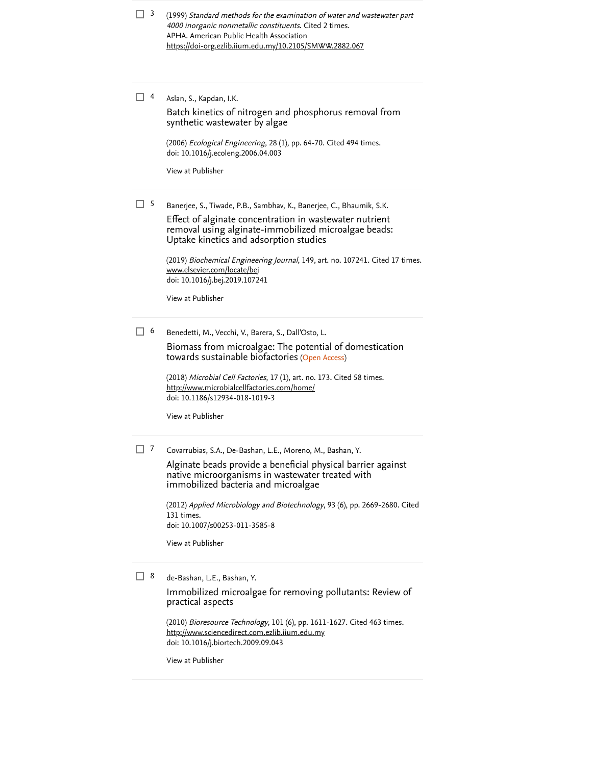(1999) Standard methods for the examination of water and wastewater part 4000 inorganic nonmetallic constituents. [Cited 2 times](https://www-scopus-com.ezlib.iium.edu.my/search/submit/citedby.uri?eid=2-s2.0-85112083134&refeid=2-s2.0-85088815149&src=s&origin=reflist&refstat=dummy). APHA. American Public Health Association  $\Box$  3 <https://doi-org.ezlib.iium.edu.my/10.2105/SMWW.2882.067>

Aslan, S., Kapdan, I.K.  $\Box$  4

> [Batch kinetics of nitrogen and phosphorus removal from](https://www-scopus-com.ezlib.iium.edu.my/record/display.uri?eid=2-s2.0-33750293488&origin=reflist&sort=plf-f&src=s&sid=14537ff9db2460b3721b92134ab18e1e&sot=b&sdt=b&sl=71&s=TITLE%28%22Immobilized+Microalgae+using+Alginate+for+Wastewater+Treatment%22%29) synthetic wastewater by algae

(2006) *Ecological Engineering*, 28 (1), pp. 64-70. [Cited 494 times](https://www-scopus-com.ezlib.iium.edu.my/search/submit/citedby.uri?eid=2-s2.0-85112083134&refeid=2-s2.0-33750293488&src=s&origin=reflist&refstat=core). doi: 10.1016/j.ecoleng.2006.04.003

[View at Publisher](https://www-scopus-com.ezlib.iium.edu.my/redirect/linking.uri?targetURL=https%3a%2f%2fdoi.org%2f10.1016%2fj.ecoleng.2006.04.003&locationID=3&categoryID=4&eid=2-s2.0-33750293488&issn=09258574&linkType=ViewAtPublisher&year=2006&origin=reflist&dig=bfcce57f5a33f3e2a8becfc7f4968afc)

<sup>5</sup> Banerjee, S., Tiwade, P.B., Sambhav, K., Banerjee, C., Bhaumik, S.K.

Effect of alginate concentration in wastewater nutrient [removal using alginate-immobilized microalgae beads:](https://www-scopus-com.ezlib.iium.edu.my/record/display.uri?eid=2-s2.0-85066863518&origin=reflist&sort=plf-f&src=s&sid=14537ff9db2460b3721b92134ab18e1e&sot=b&sdt=b&sl=71&s=TITLE%28%22Immobilized+Microalgae+using+Alginate+for+Wastewater+Treatment%22%29) Uptake kinetics and adsorption studies

(2019) *Biochemical Engineering Journal*, 149, art. no. 107241. [Cited 17 times](https://www-scopus-com.ezlib.iium.edu.my/search/submit/citedby.uri?eid=2-s2.0-85112083134&refeid=2-s2.0-85066863518&src=s&origin=reflist&refstat=core). doi: 10.1016/j.bej.2019.107241 [www.elsevier.com/locate/bej](https://www-scopus-com.ezlib.iium.edu.my/record/www.elsevier.com/locate/bej)

[View at Publisher](https://www-scopus-com.ezlib.iium.edu.my/redirect/linking.uri?targetURL=https%3a%2f%2fdoi.org%2f10.1016%2fj.bej.2019.107241&locationID=3&categoryID=4&eid=2-s2.0-85066863518&issn=1873295X&linkType=ViewAtPublisher&year=2019&origin=reflist&dig=fcff552848c7ce162ea076c73b6a07dd)

Benedetti, M., Vecchi, V., Barera, S., Dall'Osto, L.  $\Box$  6

> towards sustainable biofactories (Open Access) [Biomass from microalgae: The potential of domestication](https://www-scopus-com.ezlib.iium.edu.my/record/display.uri?eid=2-s2.0-85056315916&origin=reflist&sort=plf-f&src=s&sid=14537ff9db2460b3721b92134ab18e1e&sot=b&sdt=b&sl=71&s=TITLE%28%22Immobilized+Microalgae+using+Alginate+for+Wastewater+Treatment%22%29)

(2018) *Microbial Cell Factories*, 17 (1), art. no. 173. [Cited 58 times](https://www-scopus-com.ezlib.iium.edu.my/search/submit/citedby.uri?eid=2-s2.0-85112083134&refeid=2-s2.0-85056315916&src=s&origin=reflist&refstat=core). doi: 10.1186/s12934-018-1019-3 <http://www.microbialcellfactories.com/home/>

[View at Publisher](https://www-scopus-com.ezlib.iium.edu.my/redirect/linking.uri?targetURL=https%3a%2f%2fdoi.org%2f10.1186%2fs12934-018-1019-3&locationID=3&categoryID=4&eid=2-s2.0-85056315916&issn=14752859&linkType=ViewAtPublisher&year=2018&origin=reflist&dig=de863d916a1941e17eae61160b33b4c2)

Covarrubias, S.A., De-Bashan, L.E., Moreno, M., Bashan, Y.  $\Box$  7

> [Alginate beads provide a beneficial physical barrier against](https://www-scopus-com.ezlib.iium.edu.my/record/display.uri?eid=2-s2.0-84862274223&origin=reflist&sort=plf-f&src=s&sid=14537ff9db2460b3721b92134ab18e1e&sot=b&sdt=b&sl=71&s=TITLE%28%22Immobilized+Microalgae+using+Alginate+for+Wastewater+Treatment%22%29) native microorganisms in wastewater treated with immobilized bacteria and microalgae

(2012) *[Applied Microbiology and Biotechnology](https://www-scopus-com.ezlib.iium.edu.my/search/submit/citedby.uri?eid=2-s2.0-85112083134&refeid=2-s2.0-84862274223&src=s&origin=reflist&refstat=core)*, 93 (6), pp. 2669-2680. Cited . 131 times doi: 10.1007/s00253-011-3585-8

[View at Publisher](https://www-scopus-com.ezlib.iium.edu.my/redirect/linking.uri?targetURL=https%3a%2f%2fdoi.org%2f10.1007%2fs00253-011-3585-8&locationID=3&categoryID=4&eid=2-s2.0-84862274223&issn=01757598&linkType=ViewAtPublisher&year=2012&origin=reflist&dig=4805501587241b255acf7ae0669f463a)

de-Bashan, L.E., Bashan, Y.  $\Box$  8

> [Immobilized microalgae for removing pollutants: Review of](https://www-scopus-com.ezlib.iium.edu.my/record/display.uri?eid=2-s2.0-77955240342&origin=reflist&sort=plf-f&src=s&sid=14537ff9db2460b3721b92134ab18e1e&sot=b&sdt=b&sl=71&s=TITLE%28%22Immobilized+Microalgae+using+Alginate+for+Wastewater+Treatment%22%29) practical aspects

(2010) *Bioresource Technology*, 101 (6), pp. 1611-1627. [Cited 463 times](https://www-scopus-com.ezlib.iium.edu.my/search/submit/citedby.uri?eid=2-s2.0-85112083134&refeid=2-s2.0-77955240342&src=s&origin=reflist&refstat=core). doi: 10.1016/j.biortech.2009.09.043 [http://www.sciencedirect.com.ezlib.iium.edu.my](http://www.sciencedirect.com.ezlib.iium.edu.my/)

[View at Publisher](https://www-scopus-com.ezlib.iium.edu.my/redirect/linking.uri?targetURL=https%3a%2f%2fdoi.org%2f10.1016%2fj.biortech.2009.09.043&locationID=3&categoryID=4&eid=2-s2.0-77955240342&issn=09608524&linkType=ViewAtPublisher&year=2010&origin=reflist&dig=4efe49bfef4614247502721bfc83fbdc)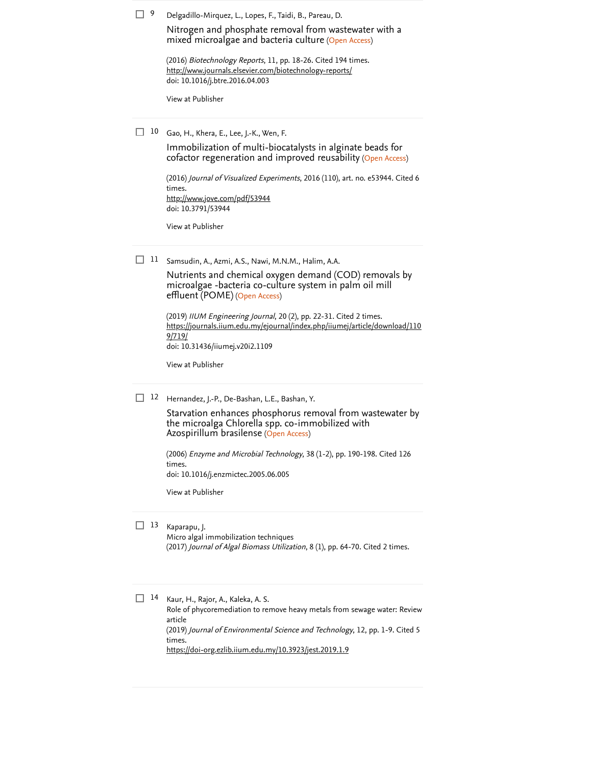|  | Delgadillo-Mirquez, L., Lopes, F., Taidi, B., Pareau, D. |  |  |  |
|--|----------------------------------------------------------|--|--|--|
|--|----------------------------------------------------------|--|--|--|

mixed microalgae and bacteria culture (Open Access) [Nitrogen and phosphate removal from wastewater with a](https://www-scopus-com.ezlib.iium.edu.my/record/display.uri?eid=2-s2.0-84973549372&origin=reflist&sort=plf-f&src=s&sid=14537ff9db2460b3721b92134ab18e1e&sot=b&sdt=b&sl=71&s=TITLE%28%22Immobilized+Microalgae+using+Alginate+for+Wastewater+Treatment%22%29)

(2016) *Biotechnology Reports*, 11, pp. 18-26. [Cited 194 times](https://www-scopus-com.ezlib.iium.edu.my/search/submit/citedby.uri?eid=2-s2.0-85112083134&refeid=2-s2.0-84973549372&src=s&origin=reflist&refstat=core). doi: 10.1016/j.btre.2016.04.003 <http://www.journals.elsevier.com/biotechnology-reports/>

[View at Publisher](https://www-scopus-com.ezlib.iium.edu.my/redirect/linking.uri?targetURL=https%3a%2f%2fdoi.org%2f10.1016%2fj.btre.2016.04.003&locationID=3&categoryID=4&eid=2-s2.0-84973549372&issn=2215017X&linkType=ViewAtPublisher&year=2016&origin=reflist&dig=c158e6200827fbd9a1a340d175d126f4)

Gao, H., Khera, E., Lee, J.-K., Wen, F. 10

cofactor regeneration and improved reusability (Open Access) [Immobilization of multi-biocatalysts in alginate beads for](https://www-scopus-com.ezlib.iium.edu.my/record/display.uri?eid=2-s2.0-84964811354&origin=reflist&sort=plf-f&src=s&sid=14537ff9db2460b3721b92134ab18e1e&sot=b&sdt=b&sl=71&s=TITLE%28%22Immobilized+Microalgae+using+Alginate+for+Wastewater+Treatment%22%29)

(2016) *[Journal of Visualized Experiments](https://www-scopus-com.ezlib.iium.edu.my/search/submit/citedby.uri?eid=2-s2.0-85112083134&refeid=2-s2.0-84964811354&src=s&origin=reflist&refstat=core)*, 2016 (110), art. no. e53944. Cited 6 . times doi: 10.3791/53944 <http://www.jove.com/pdf/53944>

[View at Publisher](https://www-scopus-com.ezlib.iium.edu.my/redirect/linking.uri?targetURL=https%3a%2f%2fdoi.org%2f10.3791%2f53944&locationID=3&categoryID=4&eid=2-s2.0-84964811354&issn=1940087X&linkType=ViewAtPublisher&year=2016&origin=reflist&dig=07f4d9ffde8ebd2125e0be24dd22f14f)

11 Samsudin, A., Azmi, A.S., Nawi, M.N.M., Halim, A.A.

effluent (POME) (Open Access) Nutrients and chemical oxygen demand (COD) removals by [microalgae -bacteria co-culture](https://www-scopus-com.ezlib.iium.edu.my/record/display.uri?eid=2-s2.0-85077325430&origin=reflist&sort=plf-f&src=s&sid=14537ff9db2460b3721b92134ab18e1e&sot=b&sdt=b&sl=71&s=TITLE%28%22Immobilized+Microalgae+using+Alginate+for+Wastewater+Treatment%22%29) system in palm oil mill

(2019) *IIUM Engineering Journal*, 20 (2), pp. 22-31. [Cited 2 times](https://www-scopus-com.ezlib.iium.edu.my/search/submit/citedby.uri?eid=2-s2.0-85112083134&refeid=2-s2.0-85077325430&src=s&origin=reflist&refstat=core). doi: 10.31436/iiumej.v20i2.1109 [https://journals.iium.edu.my/ejournal/index.php/iiumej/article/download/110](https://journals.iium.edu.my/ejournal/index.php/iiumej/article/download/1109/719/) 9/719/

[View at Publisher](https://www-scopus-com.ezlib.iium.edu.my/redirect/linking.uri?targetURL=https%3a%2f%2fdoi.org%2f10.31436%2fiiumej.v20i2.1109&locationID=3&categoryID=4&eid=2-s2.0-85077325430&issn=22897860&linkType=ViewAtPublisher&year=2019&origin=reflist&dig=642b69cd3e1b53ba43c02fc6a8f96750)

12 Hernandez, J.-P., De-Bashan, L.E., Bashan, Y.

Azospirillum brasilense (Open Access) [Starvation enhances phosphorus removal from wastewater by](https://www-scopus-com.ezlib.iium.edu.my/record/display.uri?eid=2-s2.0-27844567857&origin=reflist&sort=plf-f&src=s&sid=14537ff9db2460b3721b92134ab18e1e&sot=b&sdt=b&sl=71&s=TITLE%28%22Immobilized+Microalgae+using+Alginate+for+Wastewater+Treatment%22%29) the microalga Chlorella spp. co-immobilized with

(2006) [Enzyme and Microbial Technology](https://www-scopus-com.ezlib.iium.edu.my/search/submit/citedby.uri?eid=2-s2.0-85112083134&refeid=2-s2.0-27844567857&src=s&origin=reflist&refstat=core), 38 (1-2), pp. 190-198. Cited 126 . times doi: 10.1016/j.enzmictec.2005.06.005

[View at Publisher](https://www-scopus-com.ezlib.iium.edu.my/redirect/linking.uri?targetURL=https%3a%2f%2fdoi.org%2f10.1016%2fj.enzmictec.2005.06.005&locationID=3&categoryID=4&eid=2-s2.0-27844567857&issn=01410229&linkType=ViewAtPublisher&year=2006&origin=reflist&dig=09e8fffc207ecce7fb83c0090e997271)

#### 13 Kaparapu, J.

Micro algal immobilization techniques (2017) *Journal of Algal Biomass Utilization*, 8 (1), pp. 64-70. [Cited 2 times](https://www-scopus-com.ezlib.iium.edu.my/search/submit/citedby.uri?eid=2-s2.0-85112083134&refeid=2-s2.0-85109450975&src=s&origin=reflist&refstat=dummy).

14 Kaur, H., Rajor, A., Kaleka, A. S. Role of phycoremediation to remove heavy metals from sewage water: Review article (2019) [Journal of Environmental Science and Technology](https://www-scopus-com.ezlib.iium.edu.my/search/submit/citedby.uri?eid=2-s2.0-85112083134&refeid=2-s2.0-85096388373&src=s&origin=reflist&refstat=dummy), 12, pp. 1-9. Cited 5 . times <https://doi-org.ezlib.iium.edu.my/10.3923/jest.2019.1.9>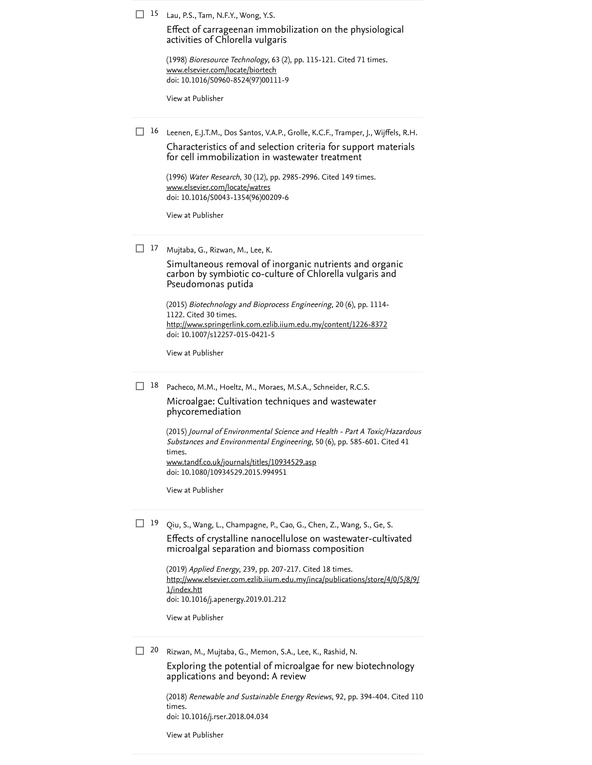15 Lau, P.S., Tam, N.F.Y., Wong, Y.S.

[Effect of carrageenan immobilization on the physiological](https://www-scopus-com.ezlib.iium.edu.my/record/display.uri?eid=2-s2.0-0032006403&origin=reflist&sort=plf-f&src=s&sid=14537ff9db2460b3721b92134ab18e1e&sot=b&sdt=b&sl=71&s=TITLE%28%22Immobilized+Microalgae+using+Alginate+for+Wastewater+Treatment%22%29) activities of Chlorella vulgaris

(1998) *Bioresource Technology*, 63 (2), pp. 115-121. [Cited 71 times](https://www-scopus-com.ezlib.iium.edu.my/search/submit/citedby.uri?eid=2-s2.0-85112083134&refeid=2-s2.0-0032006403&src=s&origin=reflist&refstat=core). doi: 10.1016/S0960-8524(97)00111-9 [www.elsevier.com/locate/biortech](https://www-scopus-com.ezlib.iium.edu.my/record/www.elsevier.com/locate/biortech)

[View at Publisher](https://www-scopus-com.ezlib.iium.edu.my/redirect/linking.uri?targetURL=https%3a%2f%2fdoi.org%2f10.1016%2fS0960-8524%2897%2900111-9&locationID=3&categoryID=4&eid=2-s2.0-0032006403&issn=09608524&linkType=ViewAtPublisher&year=1998&origin=reflist&dig=15fb4a979c9b99e7a6eb7079e264f1c1)

16 Leenen, E.J.T.M., Dos Santos, V.A.P., Grolle, K.C.F., Tramper, J., Wijffels, R.H. Characteristics of and selection criteria for support materials [for cell immobilization in wastewater treatment](https://www-scopus-com.ezlib.iium.edu.my/record/display.uri?eid=2-s2.0-0030300882&origin=reflist&sort=plf-f&src=s&sid=14537ff9db2460b3721b92134ab18e1e&sot=b&sdt=b&sl=71&s=TITLE%28%22Immobilized+Microalgae+using+Alginate+for+Wastewater+Treatment%22%29)

(1996) *Water Research*, 30 (12), pp. 2985-2996. [Cited 149 times](https://www-scopus-com.ezlib.iium.edu.my/search/submit/citedby.uri?eid=2-s2.0-85112083134&refeid=2-s2.0-0030300882&src=s&origin=reflist&refstat=core). doi: 10.1016/S0043-1354(96)00209-6 [www.elsevier.com/locate/watres](https://www-scopus-com.ezlib.iium.edu.my/record/www.elsevier.com/locate/watres)

[View at Publisher](https://www-scopus-com.ezlib.iium.edu.my/redirect/linking.uri?targetURL=https%3a%2f%2fdoi.org%2f10.1016%2fS0043-1354%2896%2900209-6&locationID=3&categoryID=4&eid=2-s2.0-0030300882&issn=00431354&linkType=ViewAtPublisher&year=1996&origin=reflist&dig=e028283c63e4fe7d9819aab929101989)

17 Mujtaba, G., Rizwan, M., Lee, K.

[Simultaneous removal of inorganic nutrients and organic](https://www-scopus-com.ezlib.iium.edu.my/record/display.uri?eid=2-s2.0-84954535409&origin=reflist&sort=plf-f&src=s&sid=14537ff9db2460b3721b92134ab18e1e&sot=b&sdt=b&sl=71&s=TITLE%28%22Immobilized+Microalgae+using+Alginate+for+Wastewater+Treatment%22%29) carbon by symbiotic co-culture of Chlorella vulgaris and Pseudomonas putida

(2015) Biotechnology and Bioprocess Engineering, 20 (6), pp. 1114- 1122. [Cited 30 times](https://www-scopus-com.ezlib.iium.edu.my/search/submit/citedby.uri?eid=2-s2.0-85112083134&refeid=2-s2.0-84954535409&src=s&origin=reflist&refstat=core). doi: 10.1007/s12257-015-0421-5 <http://www.springerlink.com.ezlib.iium.edu.my/content/1226-8372>

[View at Publisher](https://www-scopus-com.ezlib.iium.edu.my/redirect/linking.uri?targetURL=https%3a%2f%2fdoi.org%2f10.1007%2fs12257-015-0421-5&locationID=3&categoryID=4&eid=2-s2.0-84954535409&issn=19763816&linkType=ViewAtPublisher&year=2015&origin=reflist&dig=03912c0c242f15d9709ffb84f1a56fb8)

18 Pacheco, M.M., Hoeltz, M., Moraes, M.S.A., Schneider, R.C.S.

[Microalgae: Cultivation techniques and wastewater](https://www-scopus-com.ezlib.iium.edu.my/record/display.uri?eid=2-s2.0-84927523983&origin=reflist&sort=plf-f&src=s&sid=14537ff9db2460b3721b92134ab18e1e&sot=b&sdt=b&sl=71&s=TITLE%28%22Immobilized+Microalgae+using+Alginate+for+Wastewater+Treatment%22%29) phycoremediation

(2015) Journal of Environmental Science and Health - Part A Toxic/Hazardous [Substances and Environmental Engineering](https://www-scopus-com.ezlib.iium.edu.my/search/submit/citedby.uri?eid=2-s2.0-85112083134&refeid=2-s2.0-84927523983&src=s&origin=reflist&refstat=core), 50 (6), pp. 585-601. Cited 41 . times doi: 10.1080/10934529.2015.994951 [www.tandf.co.uk/journals/titles/10934529.asp](https://www-scopus-com.ezlib.iium.edu.my/record/www.tandf.co.uk/journals/titles/10934529.asp)

[View at Publisher](https://www-scopus-com.ezlib.iium.edu.my/redirect/linking.uri?targetURL=https%3a%2f%2fdoi.org%2f10.1080%2f10934529.2015.994951&locationID=3&categoryID=4&eid=2-s2.0-84927523983&issn=15324117&linkType=ViewAtPublisher&year=2015&origin=reflist&dig=4aa254abd1163782ebd335ed0b677f71)

19 Qiu, S., Wang, L., Champagne, P., Cao, G., Chen, Z., Wang, S., Ge, S. [Effects of crystalline nanocellulose on wastewater-cultivated](https://www-scopus-com.ezlib.iium.edu.my/record/display.uri?eid=2-s2.0-85060854737&origin=reflist&sort=plf-f&src=s&sid=14537ff9db2460b3721b92134ab18e1e&sot=b&sdt=b&sl=71&s=TITLE%28%22Immobilized+Microalgae+using+Alginate+for+Wastewater+Treatment%22%29)

microalgal separation and biomass composition

(2019) Applied Energy, 239, pp. 207-217. [Cited 18 times](https://www-scopus-com.ezlib.iium.edu.my/search/submit/citedby.uri?eid=2-s2.0-85112083134&refeid=2-s2.0-85060854737&src=s&origin=reflist&refstat=core). doi: 10.1016/j.apenergy.2019.01.212 [http://www.elsevier.com.ezlib.iium.edu.my/inca/publications/store/4/0/5/8/9/](http://www.elsevier.com.ezlib.iium.edu.my/inca/publications/store/4/0/5/8/9/1/index.htt) 1/index.htt

[View at Publisher](https://www-scopus-com.ezlib.iium.edu.my/redirect/linking.uri?targetURL=https%3a%2f%2fdoi.org%2f10.1016%2fj.apenergy.2019.01.212&locationID=3&categoryID=4&eid=2-s2.0-85060854737&issn=03062619&linkType=ViewAtPublisher&year=2019&origin=reflist&dig=35af083b14fb8216beca7dc971791846)

Rizwan, M., Mujtaba, G., Memon, S.A., Lee, K., Rashid, N.  $\Box$  20

> [Exploring the potential of microalgae for new biotechnology](https://www-scopus-com.ezlib.iium.edu.my/record/display.uri?eid=2-s2.0-85046684916&origin=reflist&sort=plf-f&src=s&sid=14537ff9db2460b3721b92134ab18e1e&sot=b&sdt=b&sl=71&s=TITLE%28%22Immobilized+Microalgae+using+Alginate+for+Wastewater+Treatment%22%29) applications and beyond: A review

(2018) *[Renewable and Sustainable Energy Reviews](https://www-scopus-com.ezlib.iium.edu.my/search/submit/citedby.uri?eid=2-s2.0-85112083134&refeid=2-s2.0-85046684916&src=s&origin=reflist&refstat=core)*, 92, pp. 394-404. Cited 110 . times doi: 10.1016/j.rser.2018.04.034

[View at Publisher](https://www-scopus-com.ezlib.iium.edu.my/redirect/linking.uri?targetURL=https%3a%2f%2fdoi.org%2f10.1016%2fj.rser.2018.04.034&locationID=3&categoryID=4&eid=2-s2.0-85046684916&issn=18790690&linkType=ViewAtPublisher&year=2018&origin=reflist&dig=06031ca9b62cf79a113a6d9220c7c721)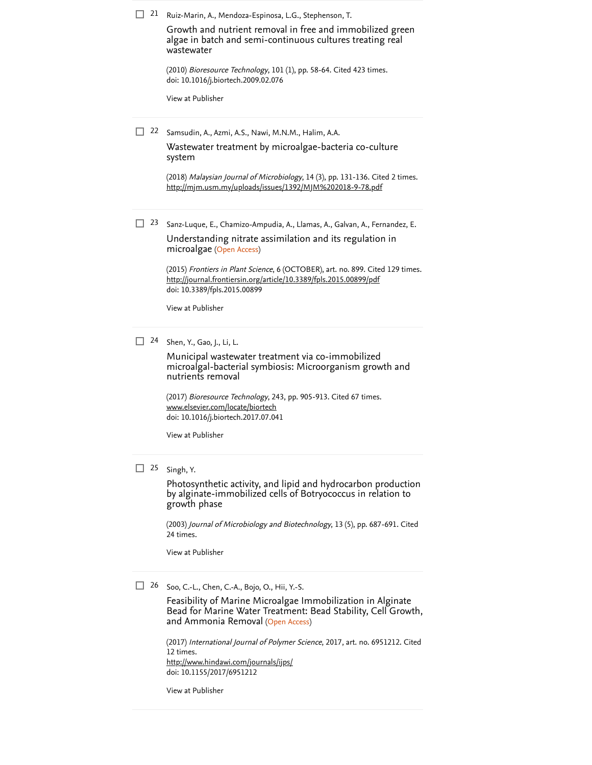| 21      | Ruiz-Marin, A., Mendoza-Espinosa, L.G., Stephenson, T.                                                                                                                               |
|---------|--------------------------------------------------------------------------------------------------------------------------------------------------------------------------------------|
|         | Growth and nutrient removal in free and immobilized green<br>algae in batch and semi-continuous cultures treating real<br>wastewater                                                 |
|         | (2010) <i>Bioresource Technology</i> , 101 (1), pp. 58-64. Cited 423 times.<br>doi: 10.1016/j.biortech.2009.02.076                                                                   |
|         | View at Publisher                                                                                                                                                                    |
| п<br>22 | Samsudin, A., Azmi, A.S., Nawi, M.N.M., Halim, A.A.                                                                                                                                  |
|         | Wastewater treatment by microalgae-bacteria co-culture<br>system                                                                                                                     |
|         | (2018) Malaysian Journal of Microbiology, 14 (3), pp. 131-136. Cited 2 times.<br>http://mjm.usm.my/uploads/issues/1392/MJM%202018-9-78.pdf                                           |
| 23      | Sanz-Luque, E., Chamizo-Ampudia, A., Llamas, A., Galvan, A., Fernandez, E.                                                                                                           |
|         | Understanding nitrate assimilation and its regulation in<br>microalgae (Open Access)                                                                                                 |
|         | (2015) Frontiers in Plant Science, 6 (OCTOBER), art. no. 899. Cited 129 times.<br>http://journal.frontiersin.org/article/10.3389/fpls.2015.00899/pdf<br>doi: 10.3389/fpls.2015.00899 |
|         | View at Publisher                                                                                                                                                                    |
| 24      | Shen, Y., Gao, J., Li, L.                                                                                                                                                            |
|         | Municipal wastewater treatment via co-immobilized<br>microalgal-bacterial symbiosis: Microorganism growth and<br>nutrients removal                                                   |
|         | (2017) Bioresource Technology, 243, pp. 905-913. Cited 67 times.<br>www.elsevier.com/locate/biortech<br>doi: 10.1016/j.biortech.2017.07.041                                          |
|         | View at Publisher                                                                                                                                                                    |
| П<br>25 | Singh, Y.                                                                                                                                                                            |
|         | Photosynthetic activity, and lipid and hydrocarbon production<br>by alginate-immobilized cells of Botryococcus in relation to<br>growth phase                                        |

(2003) *[Journal of Microbiology and Biotechnology](https://www-scopus-com.ezlib.iium.edu.my/search/submit/citedby.uri?eid=2-s2.0-85112083134&refeid=2-s2.0-0242573408&src=s&origin=reflist&refstat=core)*, 13 (5), pp. 687-691. Cited . 24 times

[View at Publisher](https://www-scopus-com.ezlib.iium.edu.my/redirect/linking.uri?targetURL=http%3a%2f%2fwww.jmb.or.kr%2fhome%2fjournal%2flibrary%2fjournal_list.asp%3fpublishedyear%3d2003&locationID=3&categoryID=4&eid=2-s2.0-0242573408&issn=10177825&linkType=ViewAtPublisher&year=2003&origin=reflist&dig=d4e49b022d84b69ddfb72c798d094d70)

26 Soo, C.-L., Chen, C.-A., Bojo, O., Hii, Y.-S.

and Ammonia Removal (Open Access) Feasibility of Marine Microalgae Immobilization in Alginate [Bead for Marine Water Treatment: Bead Stability, Cell Growth,](https://www-scopus-com.ezlib.iium.edu.my/record/display.uri?eid=2-s2.0-85042793419&origin=reflist&sort=plf-f&src=s&sid=14537ff9db2460b3721b92134ab18e1e&sot=b&sdt=b&sl=71&s=TITLE%28%22Immobilized+Microalgae+using+Alginate+for+Wastewater+Treatment%22%29)

(2017) [International Journal of Polymer Science](https://www-scopus-com.ezlib.iium.edu.my/search/submit/citedby.uri?eid=2-s2.0-85112083134&refeid=2-s2.0-85042793419&src=s&origin=reflist&refstat=core), 2017, art. no. 6951212. Cited . 12 times doi: 10.1155/2017/6951212 <http://www.hindawi.com/journals/ijps/>

[View at Publisher](https://www-scopus-com.ezlib.iium.edu.my/redirect/linking.uri?targetURL=https%3a%2f%2fdoi.org%2f10.1155%2f2017%2f6951212&locationID=3&categoryID=4&eid=2-s2.0-85042793419&issn=16879430&linkType=ViewAtPublisher&year=2017&origin=reflist&dig=798838cf1715e2dae761ee62a8c70e0b)